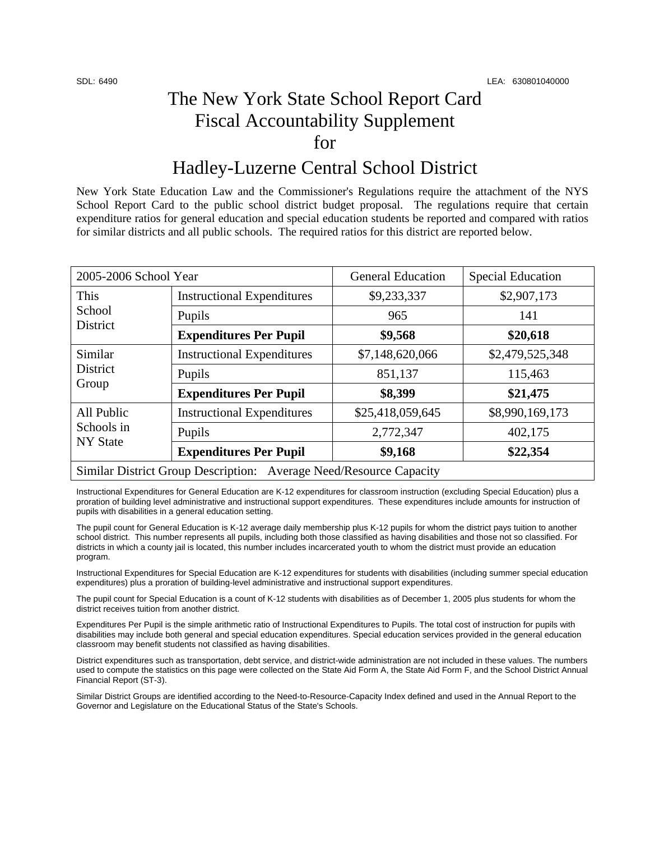## The New York State School Report Card Fiscal Accountability Supplement for

### Hadley-Luzerne Central School District

New York State Education Law and the Commissioner's Regulations require the attachment of the NYS School Report Card to the public school district budget proposal. The regulations require that certain expenditure ratios for general education and special education students be reported and compared with ratios for similar districts and all public schools. The required ratios for this district are reported below.

| 2005-2006 School Year                                              |                                   | <b>General Education</b> | <b>Special Education</b> |  |
|--------------------------------------------------------------------|-----------------------------------|--------------------------|--------------------------|--|
| This<br>School<br><b>District</b>                                  | <b>Instructional Expenditures</b> | \$9,233,337              | \$2,907,173              |  |
|                                                                    | Pupils                            | 965                      | 141                      |  |
|                                                                    | <b>Expenditures Per Pupil</b>     | \$9,568                  | \$20,618                 |  |
| Similar<br>District<br>Group                                       | <b>Instructional Expenditures</b> | \$7,148,620,066          | \$2,479,525,348          |  |
|                                                                    | Pupils                            | 851,137                  | 115,463                  |  |
|                                                                    | <b>Expenditures Per Pupil</b>     | \$8,399                  | \$21,475                 |  |
| All Public<br>Schools in<br><b>NY State</b>                        | <b>Instructional Expenditures</b> | \$25,418,059,645         | \$8,990,169,173          |  |
|                                                                    | Pupils                            | 2,772,347                | 402,175                  |  |
|                                                                    | <b>Expenditures Per Pupil</b>     | \$9,168                  | \$22,354                 |  |
| Similar District Group Description: Average Need/Resource Capacity |                                   |                          |                          |  |

Instructional Expenditures for General Education are K-12 expenditures for classroom instruction (excluding Special Education) plus a proration of building level administrative and instructional support expenditures. These expenditures include amounts for instruction of pupils with disabilities in a general education setting.

The pupil count for General Education is K-12 average daily membership plus K-12 pupils for whom the district pays tuition to another school district. This number represents all pupils, including both those classified as having disabilities and those not so classified. For districts in which a county jail is located, this number includes incarcerated youth to whom the district must provide an education program.

Instructional Expenditures for Special Education are K-12 expenditures for students with disabilities (including summer special education expenditures) plus a proration of building-level administrative and instructional support expenditures.

The pupil count for Special Education is a count of K-12 students with disabilities as of December 1, 2005 plus students for whom the district receives tuition from another district.

Expenditures Per Pupil is the simple arithmetic ratio of Instructional Expenditures to Pupils. The total cost of instruction for pupils with disabilities may include both general and special education expenditures. Special education services provided in the general education classroom may benefit students not classified as having disabilities.

District expenditures such as transportation, debt service, and district-wide administration are not included in these values. The numbers used to compute the statistics on this page were collected on the State Aid Form A, the State Aid Form F, and the School District Annual Financial Report (ST-3).

Similar District Groups are identified according to the Need-to-Resource-Capacity Index defined and used in the Annual Report to the Governor and Legislature on the Educational Status of the State's Schools.